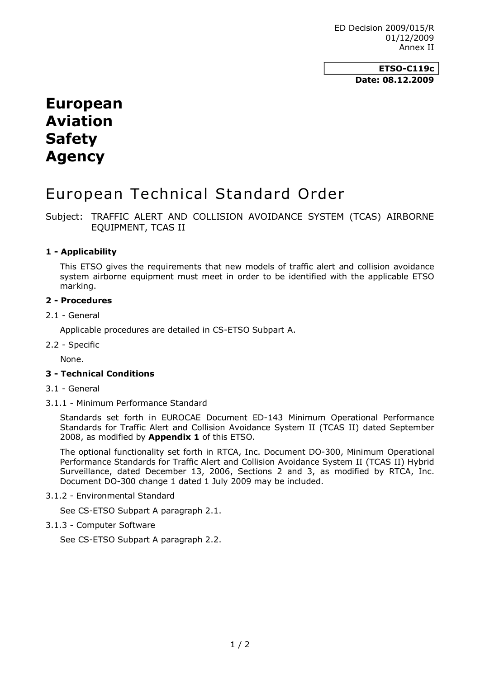ED Decision 2009/015/R 01/12/2009 Annex II

> **ETSO-C119c Date: 08.12.2009**

# **European Aviation Safety Agency**

# European Technical Standard Order

Subject: TRAFFIC ALERT AND COLLISION AVOIDANCE SYSTEM (TCAS) AIRBORNE EQUIPMENT, TCAS II

# **1 Applicability**

This ETSO gives the requirements that new models of traffic alert and collision avoidance system airborne equipment must meet in order to be identified with the applicable ETSO marking.

#### **2 Procedures**

#### 2.1 General

Applicable procedures are detailed in CS-ETSO Subpart A.

2.2 - Specific

None.

# **3 Technical Conditions**

- 3.1 General
- 3.1.1 Minimum Performance Standard

Standards set forth in EUROCAE Document ED-143 Minimum Operational Performance Standards for Traffic Alert and Collision Avoidance System II (TCAS II) dated September 2008, as modified by **Appendix 1** of this ETSO.

The optional functionality set forth in RTCA, Inc. Document DO-300, Minimum Operational Performance Standards for Traffic Alert and Collision Avoidance System II (TCAS II) Hybrid Surveillance, dated December 13, 2006, Sections 2 and 3, as modified by RTCA, Inc. Document DO-300 change 1 dated 1 July 2009 may be included.

3.1.2 Environmental Standard

See CS-ETSO Subpart A paragraph 2.1.

3.1.3 Computer Software

See CS-ETSO Subpart A paragraph 2.2.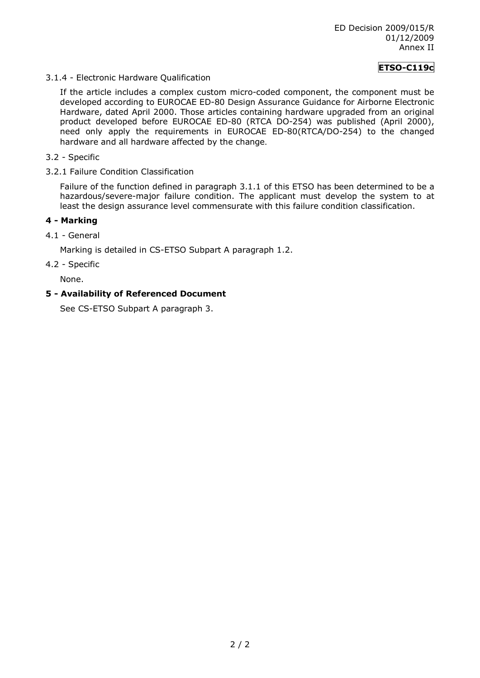# **ETSO-C119c**

3.1.4 Electronic Hardware Qualification

If the article includes a complex custom micro-coded component, the component must be developed according to EUROCAE ED-80 Design Assurance Guidance for Airborne Electronic Hardware, dated April 2000. Those articles containing hardware upgraded from an original product developed before EUROCAE ED-80 (RTCA DO-254) was published (April 2000), need only apply the requirements in EUROCAE ED-80(RTCA/DO-254) to the changed hardware and all hardware affected by the change.

- 3.2 Specific
- 3.2.1 Failure Condition Classification

Failure of the function defined in paragraph 3.1.1 of this ETSO has been determined to be a hazardous/severe-major failure condition. The applicant must develop the system to at least the design assurance level commensurate with this failure condition classification.

# **4 Marking**

4.1 General

Marking is detailed in CS-ETSO Subpart A paragraph 1.2.

4.2 - Specific

None.

# **5 Availability of Referenced Document**

See CS-ETSO Subpart A paragraph 3.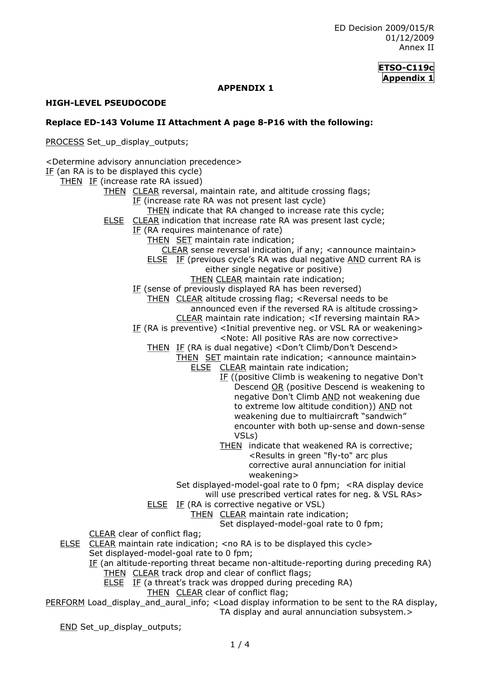# **ETSO-C119c Appendix 1**

### **APPENDIX 1**

### **HIGH-LEVEL PSEUDOCODE**

#### **Replace ED143 Volume II Attachment A page 8P16 with the following:**

PROCESS Set\_up\_display\_outputs;

<Determine advisory annunciation precedence>

IF (an RA is to be displayed this cycle) THEN IF (increase rate RA issued) THEN CLEAR reversal, maintain rate, and altitude crossing flags; IF (increase rate RA was not present last cycle) THEN indicate that RA changed to increase rate this cycle; ELSE CLEAR indication that increase rate RA was present last cycle; IF (RA requires maintenance of rate) THEN SET maintain rate indication; CLEAR sense reversal indication, if any; <announce maintain> ELSE IF (previous cycle's RA was dual negative AND current RA is either single negative or positive) THEN CLEAR maintain rate indication; IF (sense of previously displayed RA has been reversed) THEN CLEAR altitude crossing flag; <Reversal needs to be announced even if the reversed RA is altitude crossing> CLEAR maintain rate indication; <If reversing maintain RA> IF (RA is preventive) <Initial preventive neg. or VSL RA or weakening> <Note: All positive RAs are now corrective> THEN IF (RA is dual negative) <Don't Climb/Don't Descend> THEN SET maintain rate indication; <announce maintain> ELSE CLEAR maintain rate indication; IF ((positive Climb is weakening to negative Don't Descend OR (positive Descend is weakening to negative Don't Climb AND not weakening due to extreme low altitude condition)) AND not weakening due to multiaircraft "sandwich" encounter with both up-sense and down-sense VSLs) THEN indicate that weakened RA is corrective; <Results in green "fly-to" arc plus corrective aural annunciation for initial weakening> Set displayed-model-goal rate to 0 fpm; <RA display device will use prescribed vertical rates for neg. & VSL RAs> **ELSE** IF (RA is corrective negative or VSL) THEN CLEAR maintain rate indication; Set displayed-model-goal rate to 0 fpm; CLEAR clear of conflict flag; ELSE CLEAR maintain rate indication; <no RA is to be displayed this cycle> Set displayed-model-goal rate to 0 fpm; IF (an altitude-reporting threat became non-altitude-reporting during preceding RA)

- THEN CLEAR track drop and clear of conflict flags;
- ELSE IF (a threat's track was dropped during preceding RA)
	- THEN CLEAR clear of conflict flag;

PERFORM Load\_display\_and\_aural\_info; <Load display information to be sent to the RA display, TA display and aural annunciation subsystem.>

END Set\_up\_display\_outputs;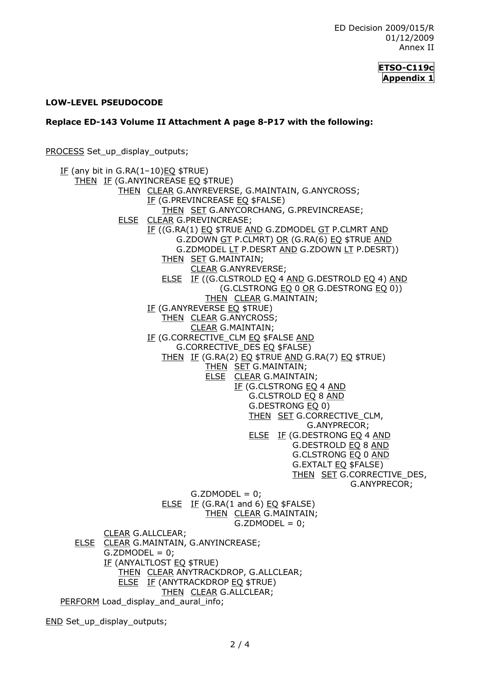

#### **LOWLEVEL PSEUDOCODE**

#### **Replace ED-143 Volume II Attachment A page 8-P17 with the following:**

PROCESS Set\_up\_display\_outputs;

IF (any bit in G.RA $(1-10)$ EQ \$TRUE) THEN IF (G.ANYINCREASE EQ \$TRUE) THEN CLEAR G.ANYREVERSE, G.MAINTAIN, G.ANYCROSS; IF (G.PREVINCREASE EQ \$FALSE) THEN SET G.ANYCORCHANG, G.PREVINCREASE; ELSE CLEAR G.PREVINCREASE; IF ((G.RA(1) EQ \$TRUE AND G.ZDMODEL GT P.CLMRT AND G.ZDOWN GT P.CLMRT) OR (G.RA(6) EQ \$TRUE AND G.ZDMODEL LT P.DESRT AND G.ZDOWN LT P.DESRT)) THEN SET G.MAINTAIN; CLEAR G.ANYREVERSE; ELSE IF ((G.CLSTROLD EQ 4 AND G.DESTROLD EQ 4) AND (G.CLSTRONG EQ 0 OR G.DESTRONG EQ 0)) THEN CLEAR G.MAINTAIN; IF (G.ANYREVERSE **EQ \$TRUE)** THEN CLEAR G.ANYCROSS; CLEAR G.MAINTAIN; IF (G.CORRECTIVE\_CLM EQ \$FALSE AND G.CORRECTIVE\_DES EQ \$FALSE) THEN IF (G.RA(2) EQ \$TRUE AND G.RA(7) EQ \$TRUE) THEN SET G.MAINTAIN; ELSE CLEAR G.MAINTAIN; IF (G.CLSTRONG EQ 4 AND G.CLSTROLD EQ 8 AND G.DESTRONG EQ 0) THEN SET G.CORRECTIVE\_CLM, G.ANYPRECOR; ELSE IF (G.DESTRONG EQ 4 AND G.DESTROLD EQ 8 AND G.CLSTRONG EQ 0 AND G.EXTALT EQ \$FALSE) THEN SET G.CORRECTIVE\_DES, G.ANYPRECOR;  $G.ZDMODEL = 0;$ ELSE IF (G.RA(1 and 6) EQ  $$FALSE)$ THEN CLEAR G.MAINTAIN;  $G.ZDMODEL = 0;$ CLEAR G.ALLCLEAR; ELSE CLEAR G.MAINTAIN, G.ANYINCREASE;  $G.ZDMODEL = 0;$ IF (ANYALTLOST EQ \$TRUE) THEN CLEAR ANYTRACKDROP, G.ALLCLEAR; ELSE IF (ANYTRACKDROP EQ \$TRUE) THEN CLEAR G.ALLCLEAR; PERFORM Load\_display\_and\_aural\_info;

END Set up display outputs;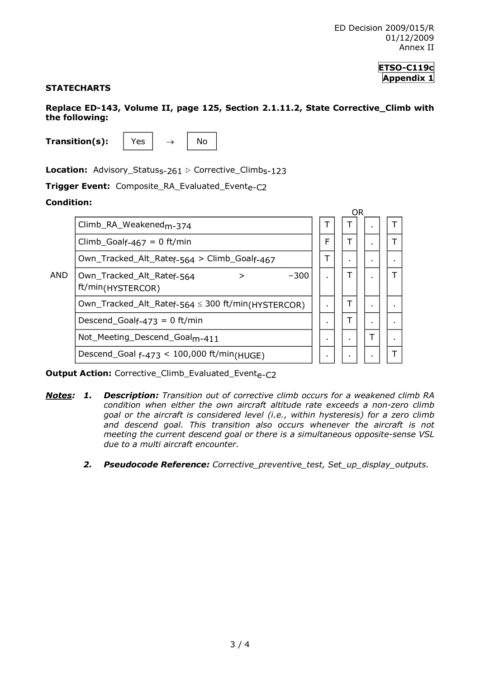#### **ETSO-C119c Appendix 1**

# **STATECHARTS**

**Replace ED143, Volume II, page 125, Section 2.1.11.2, State Corrective\_Climb with the following:** 

**Transition(s):**  $\vert$  Yes  $\vert$   $\rightarrow$   $\vert$  No

**Location:** Advisory\_Status<sub>s-261</sub>  $\triangleright$  Corrective\_Climb<sub>s-123</sub>

**Trigger Event:** Composite\_RA\_Evaluated\_Evente-C2

#### **Condition:**



**Output Action:** Corrective\_Climb\_Evaluated\_Evente-C2

- *Notes: 1. Description: Transition out of corrective climb occurs for a weakened climb RA condition when either the own aircraft altitude rate exceeds a nonzero climb goal or the aircraft is considered level (i.e., within hysteresis) for a zero climb and descend goal. This transition also occurs whenever the aircraft is not meeting the current descend goal or there is a simultaneous opposite-sense VSL due to a multi aircraft encounter.*
	- *2. Pseudocode Reference: Corrective\_preventive\_test, Set\_up\_display\_outputs.*